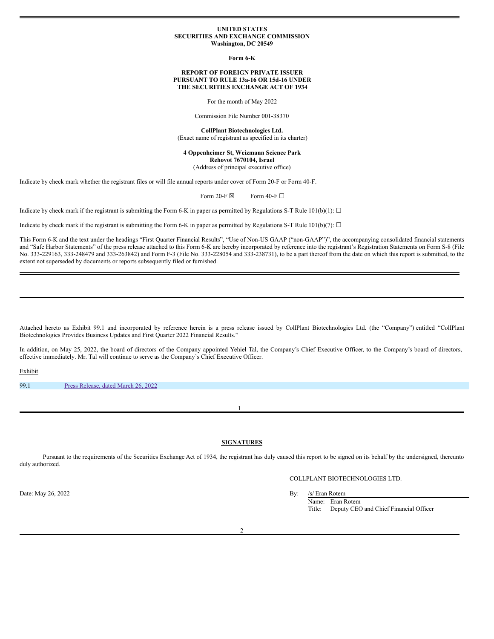### **UNITED STATES SECURITIES AND EXCHANGE COMMISSION Washington, DC 20549**

**Form 6-K**

### **REPORT OF FOREIGN PRIVATE ISSUER PURSUANT TO RULE 13a-16 OR 15d-16 UNDER THE SECURITIES EXCHANGE ACT OF 1934**

For the month of May 2022

Commission File Number 001-38370

**CollPlant Biotechnologies Ltd.** (Exact name of registrant as specified in its charter)

### **4 Oppenheimer St, Weizmann Science Park Rehovot 7670104, Israel** (Address of principal executive office)

Indicate by check mark whether the registrant files or will file annual reports under cover of Form 20-F or Form 40-F.

Form 20-F  $\boxtimes$  Form 40-F  $\Box$ 

Indicate by check mark if the registrant is submitting the Form 6-K in paper as permitted by Regulations S-T Rule 101(b)(1):  $\Box$ 

Indicate by check mark if the registrant is submitting the Form 6-K in paper as permitted by Regulations S-T Rule 101(b)(7):  $\Box$ 

This Form 6-K and the text under the headings "First Quarter Financial Results", "Use of Non-US GAAP ("non-GAAP")", the accompanying consolidated financial statements and "Safe Harbor Statements" of the press release attached to this Form 6-K are hereby incorporated by reference into the registrant's Registration Statements on Form S-8 (File No. 333-229163, 333-248479 and 333-263842) and Form F-3 (File No. 333-228054 and 333-238731), to be a part thereof from the date on which this report is submitted, to the extent not superseded by documents or reports subsequently filed or furnished.

Attached hereto as Exhibit 99.1 and incorporated by reference herein is a press release issued by CollPlant Biotechnologies Ltd. (the "Company") entitled "CollPlant Biotechnologies Provides Business Updates and First Quarter 2022 Financial Results."

In addition, on May 25, 2022, the board of directors of the Company appointed Yehiel Tal, the Company's Chief Executive Officer, to the Company's board of directors, effective immediately. Mr. Tal will continue to serve as the Company's Chief Executive Officer.

Exhibit

99.1 Press [Release,](#page-3-0) dated March 26, 2022

**SIGNATURES**

1

Pursuant to the requirements of the Securities Exchange Act of 1934, the registrant has duly caused this report to be signed on its behalf by the undersigned, thereunto duly authorized.

Date: May 26, 2022 By: /s/ Eran Rotem

# COLLPLANT BIOTECHNOLOGIES LTD.

Name: Eran Rotem Title: Deputy CEO and Chief Financial Officer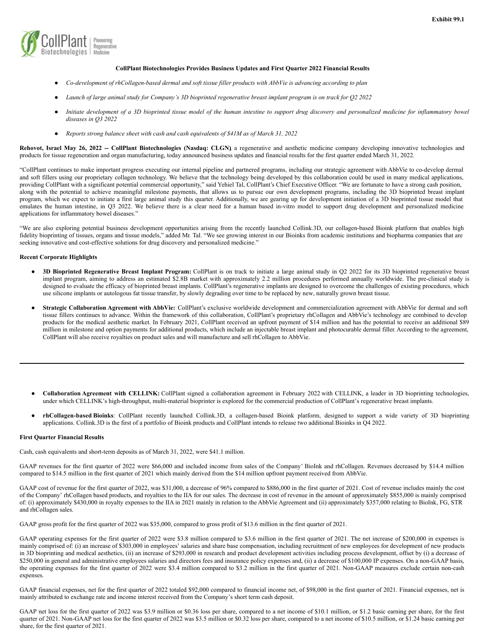

### **CollPlant Biotechnologies Provides Business Updates and First Quarter 2022 Financial Results**

- Co-development of rhCollagen-based dermal and soft tissue filler products with AbbVie is advancing according to plan
- Launch of large animal study for Company's 3D bioprinted regenerative breast implant program is on track for Q2 2022
- Initiate development of a 3D bioprinted tissue model of the human intestine to support drug discovery and personalized medicine for inflammatory bowel *diseases in Q3 2022*
- *Reports strong balance sheet with cash and cash equivalents of \$41M as of March 31, 2022*

Rehovot, Israel May 26, 2022 -- CollPlant Biotechnologies (Nasdaq: CLGN) a regenerative and aesthetic medicine company developing innovative technologies and products for tissue regeneration and organ manufacturing, today announced business updates and financial results for the first quarter ended March 31, 2022.

"CollPlant continues to make important progress executing our internal pipeline and partnered programs, including our strategic agreement with AbbVie to co-develop dermal and soft fillers using our proprietary collagen technology. We believe that the technology being developed by this collaboration could be used in many medical applications, providing CollPlant with a significant potential commercial opportunity," said Yehiel Tal, CollPlant's Chief Executive Officer. "We are fortunate to have a strong cash position, along with the potential to achieve meaningful milestone payments, that allows us to pursue our own development programs, including the 3D bioprinted breast implant program, which we expect to initiate a first large animal study this quarter. Additionally, we are gearing up for development initiation of a 3D bioprinted tissue model that emulates the human intestine, in Q3 2022. We believe there is a clear need for a human based in-vitro model to support drug development and personalized medicine applications for inflammatory bowel diseases."

"We are also exploring potential business development opportunities arising from the recently launched Collink.3D, our collagen-based Bioink platform that enables high fidelity bioprinting of tissues, organs and tissue models," added Mr. Tal. "We see growing interest in our Bioinks from academic institutions and biopharma companies that are seeking innovative and cost-effective solutions for drug discovery and personalized medicine."

## **Recent Corporate Highlights**

- **3D Bioprinted Regenerative Breast Implant Program:** CollPlant is on track to initiate a large animal study in Q2 2022 for its 3D bioprinted regenerative breast implant program, aiming to address an estimated \$2.8B market with approximately 2.2 million procedures performed annually worldwide. The pre-clinical study is designed to evaluate the efficacy of bioprinted breast implants. CollPlant's regenerative implants are designed to overcome the challenges of existing procedures, which use silicone implants or autologous fat tissue transfer, by slowly degrading over time to be replaced by new, naturally grown breast tissue.
- **Strategic Collaboration Agreement with AbbVie:** CollPlant's exclusive worldwide development and commercialization agreement with AbbVie for dermal and soft tissue fillers continues to advance. Within the framework of this collaboration, CollPlant's proprietary rhCollagen and AbbVie's technology are combined to develop products for the medical aesthetic market. In February 2021, CollPlant received an upfront payment of \$14 million and has the potential to receive an additional \$89 million in milestone and option payments for additional products, which include an injectable breast implant and photocurable dermal filler. According to the agreement, CollPlant will also receive royalties on product sales and will manufacture and sell rhCollagen to AbbVie.
- **Collaboration Agreement with CELLINK:** CollPlant signed a collaboration agreement in February 2022 with CELLINK, a leader in 3D bioprinting technologies, under which CELLINK's high-throughput, multi-material bioprinter is explored for the commercial production of CollPlant's regenerative breast implants.
- **rhCollagen-based Bioinks**: CollPlant recently launched Collink.3D, a collagen-based Bioink platform, designed to support a wide variety of 3D bioprinting applications. Collink.3D is the first of a portfolio of Bioink products and CollPlant intends to release two additional Bioinks in Q4 2022.

#### **First Quarter Financial Results**

Cash, cash equivalents and short-term deposits as of March 31, 2022, were \$41.1 million.

GAAP revenues for the first quarter of 2022 were \$66,000 and included income from sales of the Company' BioInk and rhCollagen. Revenues decreased by \$14.4 million compared to \$14.5 million in the first quarter of 2021 which mainly derived from the \$14 million upfront payment received from AbbVie.

GAAP cost of revenue for the first quarter of 2022, was \$31,000, a decrease of 96% compared to \$886,000 in the first quarter of 2021. Cost of revenue includes mainly the cost of the Company' rhCollagen based products, and royalties to the IIA for our sales. The decrease in cost of revenue in the amount of approximately \$855,000 is mainly comprised of: (i) approximately \$430,000 in royalty expenses to the IIA in 2021 mainly in relation to the AbbVie Agreement and (ii) approximately \$357,000 relating to BioInk, FG, STR and rhCollagen sales.

GAAP gross profit for the first quarter of 2022 was \$35,000, compared to gross profit of \$13.6 million in the first quarter of 2021.

GAAP operating expenses for the first quarter of 2022 were \$3.8 million compared to \$3.6 million in the first quarter of 2021. The net increase of \$200,000 in expenses is mainly comprised of: (i) an increase of \$303,000 in employees' salaries and share base compensation, including recruitment of new employees for development of new products in 3D bioprinting and medical aesthetics, (ii) an increase of \$293,000 in research and product development activities including process development, offset by (i) a decrease of \$250,000 in general and administrative employees salaries and directors fees and insurance policy expenses and, (ii) a decrease of \$100,000 IP expenses. On a non-GAAP basis, the operating expenses for the first quarter of 2022 were \$3.4 million compared to \$3.2 million in the first quarter of 2021. Non-GAAP measures exclude certain non-cash expenses.

GAAP financial expenses, net for the first quarter of 2022 totaled \$92,000 compared to financial income net, of \$98,000 in the first quarter of 2021. Financial expenses, net is mainly attributed to exchange rate and income interest received from the Company's short term cash deposit.

GAAP net loss for the first quarter of 2022 was \$3.9 million or \$0.36 loss per share, compared to a net income of \$10.1 million, or \$1.2 basic earning per share, for the first quarter of 2021. Non-GAAP net loss for the first quarter of 2022 was \$3.5 million or \$0.32 loss per share, compared to a net income of \$10.5 million, or \$1.24 basic earning per share, for the first quarter of 2021.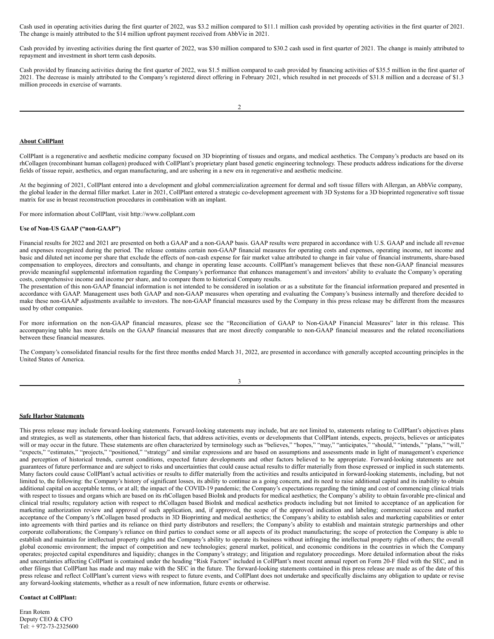Cash used in operating activities during the first quarter of 2022, was \$3.2 million compared to \$11.1 million cash provided by operating activities in the first quarter of 2021. The change is mainly attributed to the \$14 million upfront payment received from AbbVie in 2021.

Cash provided by investing activities during the first quarter of 2022, was \$30 million compared to \$30.2 cash used in first quarter of 2021. The change is mainly attributed to repayment and investment in short term cash deposits.

Cash provided by financing activities during the first quarter of 2022, was \$1.5 million compared to cash provided by financing activities of \$35.5 million in the first quarter of 2021. The decrease is mainly attributed to the Company's registered direct offering in February 2021, which resulted in net proceeds of \$31.8 million and a decrease of \$1.3 million proceeds in exercise of warrants.

### **About CollPlant**

CollPlant is a regenerative and aesthetic medicine company focused on 3D bioprinting of tissues and organs, and medical aesthetics. The Company's products are based on its rhCollagen (recombinant human collagen) produced with CollPlant's proprietary plant based genetic engineering technology. These products address indications for the diverse fields of tissue repair, aesthetics, and organ manufacturing, and are ushering in a new era in regenerative and aesthetic medicine.

At the beginning of 2021, CollPlant entered into a development and global commercialization agreement for dermal and soft tissue fillers with Allergan, an AbbVie company, the global leader in the dermal filler market. Later in 2021, CollPlant entered a strategic co-development agreement with 3D Systems for a 3D bioprinted regenerative soft tissue matrix for use in breast reconstruction procedures in combination with an implant.

For more information about CollPlant, visit http://www.collplant.com

# **Use of Non-US GAAP ("non-GAAP")**

Financial results for 2022 and 2021 are presented on both a GAAP and a non-GAAP basis. GAAP results were prepared in accordance with U.S. GAAP and include all revenue and expenses recognized during the period. The release contains certain non-GAAP financial measures for operating costs and expenses, operating income, net income and basic and diluted net income per share that exclude the effects of non-cash expense for fair market value attributed to change in fair value of financial instruments, share-based compensation to employees, directors and consultants, and change in operating lease accounts. CollPlant's management believes that these non-GAAP financial measures provide meaningful supplemental information regarding the Company's performance that enhances management's and investors' ability to evaluate the Company's operating costs, comprehensive income and income per share, and to compare them to historical Company results.

The presentation of this non-GAAP financial information is not intended to be considered in isolation or as a substitute for the financial information prepared and presented in accordance with GAAP. Management uses both GAAP and non-GAAP measures when operating and evaluating the Company's business internally and therefore decided to make these non-GAAP adjustments available to investors. The non-GAAP financial measures used by the Company in this press release may be different from the measures used by other companies.

For more information on the non-GAAP financial measures, please see the "Reconciliation of GAAP to Non-GAAP Financial Measures" later in this release. This accompanying table has more details on the GAAP financial measures that are most directly comparable to non-GAAP financial measures and the related reconciliations between these financial measures.

The Company's consolidated financial results for the first three months ended March 31, 2022, are presented in accordance with generally accepted accounting principles in the United States of America.

| I |
|---|
| I |

# **Safe Harbor Statements**

This press release may include forward-looking statements. Forward-looking statements may include, but are not limited to, statements relating to CollPlant's objectives plans and strategies, as well as statements, other than historical facts, that address activities, events or developments that CollPlant intends, expects, projects, believes or anticipates will or may occur in the future. These statements are often characterized by terminology such as "believes," "hopes," "may," "anticipates," "should," "intends," "plans," "will," "expects," "estimates," "projects," "positioned," "strategy" and similar expressions and are based on assumptions and assessments made in light of management's experience and perception of historical trends, current conditions, expected future developments and other factors believed to be appropriate. Forward-looking statements are not guarantees of future performance and are subject to risks and uncertainties that could cause actual results to differ materially from those expressed or implied in such statements. Many factors could cause CollPlant's actual activities or results to differ materially from the activities and results anticipated in forward-looking statements, including, but not limited to, the following: the Company's history of significant losses, its ability to continue as a going concern, and its need to raise additional capital and its inability to obtain additional capital on acceptable terms, or at all; the impact of the COVID-19 pandemic; the Company's expectations regarding the timing and cost of commencing clinical trials with respect to tissues and organs which are based on its rhCollagen based BioInk and products for medical aesthetics; the Company's ability to obtain favorable pre-clinical and clinical trial results; regulatory action with respect to rhCollagen based BioInk and medical aesthetics products including but not limited to acceptance of an application for marketing authorization review and approval of such application, and, if approved, the scope of the approved indication and labeling; commercial success and market acceptance of the Company's rhCollagen based products in 3D Bioprinting and medical aesthetics; the Company's ability to establish sales and marketing capabilities or enter into agreements with third parties and its reliance on third party distributors and resellers; the Company's ability to establish and maintain strategic partnerships and other corporate collaborations; the Company's reliance on third parties to conduct some or all aspects of its product manufacturing; the scope of protection the Company is able to establish and maintain for intellectual property rights and the Company's ability to operate its business without infringing the intellectual property rights of others; the overall global economic environment; the impact of competition and new technologies; general market, political, and economic conditions in the countries in which the Company operates; projected capital expenditures and liquidity; changes in the Company's strategy; and litigation and regulatory proceedings. More detailed information about the risks and uncertainties affecting CollPlant is contained under the heading "Risk Factors" included in CollPlant's most recent annual report on Form 20-F filed with the SEC, and in other filings that CollPlant has made and may make with the SEC in the future. The forward-looking statements contained in this press release are made as of the date of this press release and reflect CollPlant's current views with respect to future events, and CollPlant does not undertake and specifically disclaims any obligation to update or revise any forward-looking statements, whether as a result of new information, future events or otherwise.

# **Contact at CollPlant:**

Eran Rotem Deputy CEO & CFO Tel: + 972-73-2325600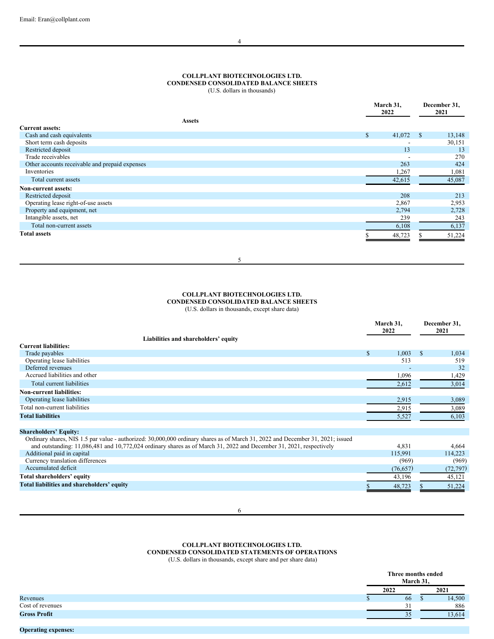## <span id="page-3-0"></span>**COLLPLANT BIOTECHNOLOGIES LTD. CONDENSED CONSOLIDATED BALANCE SHEETS**

(U.S. dollars in thousands)

|                                                |              | March 31,<br>2022 |               | December 31,<br>2021 |
|------------------------------------------------|--------------|-------------------|---------------|----------------------|
| <b>Assets</b>                                  |              |                   |               |                      |
| <b>Current assets:</b>                         |              |                   |               |                      |
| Cash and cash equivalents                      | $\mathbb{S}$ | 41,072            | <sup>\$</sup> | 13,148               |
| Short term cash deposits                       |              |                   |               | 30,151               |
| Restricted deposit                             |              | 13                |               | 13                   |
| Trade receivables                              |              |                   |               | 270                  |
| Other accounts receivable and prepaid expenses |              | 263               |               | 424                  |
| Inventories                                    |              | 1,267             |               | 1,081                |
| Total current assets                           |              | 42,615            |               | 45,087               |
| <b>Non-current assets:</b>                     |              |                   |               |                      |
| Restricted deposit                             |              | 208               |               | 213                  |
| Operating lease right-of-use assets            |              | 2,867             |               | 2,953                |
| Property and equipment, net                    |              | 2,794             |               | 2,728                |
| Intangible assets, net                         |              | 239               |               | 243                  |
| Total non-current assets                       |              | 6,108             |               | 6,137                |
| <b>Total assets</b>                            |              | 48,723            |               | 51,224               |

5

# **COLLPLANT BIOTECHNOLOGIES LTD. CONDENSED CONSOLIDATED BALANCE SHEETS**

(U.S. dollars in thousands, except share data)

|                                                                                                                                |              | March 31,<br>2022 |   | December 31,<br>2021 |
|--------------------------------------------------------------------------------------------------------------------------------|--------------|-------------------|---|----------------------|
| Liabilities and shareholders' equity                                                                                           |              |                   |   |                      |
| <b>Current liabilities:</b>                                                                                                    |              |                   |   |                      |
| Trade payables                                                                                                                 | $\mathbb{S}$ | 1,003             | S | 1,034                |
| Operating lease liabilities                                                                                                    |              | 513               |   | 519                  |
| Deferred revenues                                                                                                              |              |                   |   | 32                   |
| Accrued liabilities and other                                                                                                  |              | 1,096             |   | 1,429                |
| Total current liabilities                                                                                                      |              | 2,612             |   | 3,014                |
| <b>Non-current liabilities:</b>                                                                                                |              |                   |   |                      |
| Operating lease liabilities                                                                                                    |              | 2,915             |   | 3,089                |
| Total non-current liabilities                                                                                                  |              | 2,915             |   | 3,089                |
| <b>Total liabilities</b>                                                                                                       |              | 5,527             |   | 6,103                |
|                                                                                                                                |              |                   |   |                      |
| <b>Shareholders' Equity:</b>                                                                                                   |              |                   |   |                      |
| Ordinary shares, NIS 1.5 par value - authorized: 30,000,000 ordinary shares as of March 31, 2022 and December 31, 2021; issued |              |                   |   |                      |
| and outstanding: 11,086,481 and 10,772,024 ordinary shares as of March 31, 2022 and December 31, 2021, respectively            |              | 4,831             |   | 4,664                |
| Additional paid in capital                                                                                                     |              | 115,991           |   | 114,223              |
| Currency translation differences                                                                                               |              | (969)             |   | (969)                |
| Accumulated deficit                                                                                                            |              | (76, 657)         |   | (72, 797)            |
| Total shareholders' equity                                                                                                     |              | 43,196            |   | 45,121               |
| Total liabilities and shareholders' equity                                                                                     |              | 48,723            |   | 51,224               |
|                                                                                                                                |              |                   |   |                      |

# **COLLPLANT BIOTECHNOLOGIES LTD. CONDENSED CONSOLIDATED STATEMENTS OF OPERATIONS**

(U.S. dollars in thousands, except share and per share data)

|                     | Three months ended<br>March 31, |     |        |
|---------------------|---------------------------------|-----|--------|
|                     | 2022                            |     | 2021   |
| Revenues            | 66                              | . D | 14,500 |
| Cost of revenues    | 31                              |     | 886    |
| <b>Gross Profit</b> | 35                              |     | 13.614 |
|                     |                                 |     |        |

# **Operating expenses:**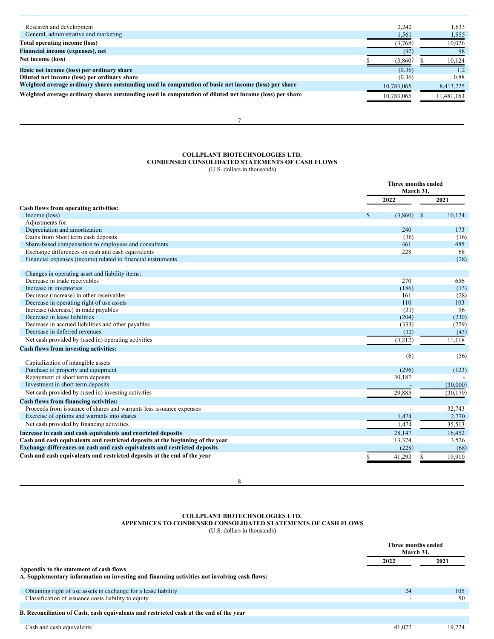| Research and development                                                                                | 2,242      | 1,633      |
|---------------------------------------------------------------------------------------------------------|------------|------------|
| General, administrative and marketing                                                                   | 1,561      | 1,955      |
| Total operating income (loss)                                                                           | (3,768)    | 10,026     |
| Financial income (expenses), net                                                                        | (92)       | 98         |
| Net income (loss)                                                                                       | (3.860)    | 10.124     |
| Basic net income (loss) per ordinary share                                                              | (0.36)     | 1.2        |
| Diluted net income (loss) per ordinary share                                                            | (0.36)     | 0.88       |
| Weighted average ordinary shares outstanding used in computation of basic net income (loss) per share   | 10,783,065 | 8,413,725  |
| Weighted average ordinary shares outstanding used in computation of diluted net income (loss) per share | 10,783,065 | 11,481,163 |

7

## **COLLPLANT BIOTECHNOLOGIES LTD. CONDENSED CONSOLIDATED STATEMENTS OF CASH FLOWS** (U.S. dollars in thousands)

|                                                                                |              | Three months ended<br>March 31. |  |  |
|--------------------------------------------------------------------------------|--------------|---------------------------------|--|--|
|                                                                                | 2022         | 2021                            |  |  |
| Cash flows from operating activities:                                          |              |                                 |  |  |
| Income (loss)                                                                  | (3,860)<br>S | 10.124<br><sup>\$</sup>         |  |  |
| Adjustments for:                                                               |              |                                 |  |  |
| Depreciation and amortization                                                  | 240          | 173                             |  |  |
| Gains from Short term cash deposits                                            | (36)         | (16)                            |  |  |
| Share-based compensation to employees and consultants                          | 461          | 485                             |  |  |
| Exchange differences on cash and cash equivalents                              | 228          | 68                              |  |  |
| Financial expenses (income) related to financial instruments                   |              | (28)                            |  |  |
| Changes in operating asset and liability items:                                |              |                                 |  |  |
| Decrease in trade receivables                                                  | 270          | 656                             |  |  |
| Increase in inventories                                                        | (186)        | (13)                            |  |  |
| Decrease (increase) in other receivables                                       | 161          | (28)                            |  |  |
| Decrease in operating right of use assets                                      | 110          | 103                             |  |  |
| Increase (decrease) in trade payables                                          | (31)         | 96                              |  |  |
| Decrease in lease liabilities                                                  | (204)        | (230)                           |  |  |
| Decrease in accrued liabilities and other payables                             | (333)        | (229)                           |  |  |
| Decrease in deferred revenues                                                  | (32)         | (43)                            |  |  |
| Net cash provided by (used in) operating activities                            | (3,212)      | 11.118                          |  |  |
| Cash flows from investing activities:                                          |              |                                 |  |  |
| Capitalization of intangible assets                                            | (6)          | (56)                            |  |  |
| Purchase of property and equipment                                             | (296)        | (123)                           |  |  |
| Repayment of short term deposits                                               | 30,187       |                                 |  |  |
| Investment in short term deposits                                              |              | (30,000)                        |  |  |
| Net cash provided by (used in) investing activities                            | 29,885       | (30, 179)                       |  |  |
| Cash flows from financing activities:                                          |              |                                 |  |  |
| Proceeds from issuance of shares and warrants less issuance expenses           |              | 32,743                          |  |  |
| Exercise of options and warrants into shares                                   | 1,474        | 2,770                           |  |  |
| Net cash provided by financing activities                                      | 1,474        | 35,513                          |  |  |
| Increase in cash and cash equivalents and restricted deposits                  | 28,147       | 16,452                          |  |  |
| Cash and cash equivalents and restricted deposits at the beginning of the year | 13,374       | 3,526                           |  |  |
| Exchange differences on cash and cash equivalents and restricted deposits      | (228)        | (68)                            |  |  |
| Cash and cash equivalents and restricted deposits at the end of the year       | \$<br>41,293 | 19,910<br>\$                    |  |  |

8

## **COLLPLANT BIOTECHNOLOGIES LTD. APPENDICES TO CONDENSED CONSOLIDATED STATEMENTS OF CASH FLOWS** (U.S. dollars in thousands)

|                                                                                              |        | Three months ended<br>March 31. |  |  |
|----------------------------------------------------------------------------------------------|--------|---------------------------------|--|--|
|                                                                                              | 2022   | 2021                            |  |  |
| Appendix to the statement of cash flows                                                      |        |                                 |  |  |
| A. Supplementary information on investing and financing activities not involving cash flows: |        |                                 |  |  |
| Obtaining right of use assets in exchange for a lease liability                              | 24     | 105                             |  |  |
| Classification of issuance costs liability to equity                                         |        | 50                              |  |  |
|                                                                                              |        |                                 |  |  |
| B. Reconciliation of Cash, cash equivalents and restricted cash at the end of the year       |        |                                 |  |  |
|                                                                                              |        |                                 |  |  |
| Cash and cash equivalents                                                                    | 41,072 | 19.724                          |  |  |